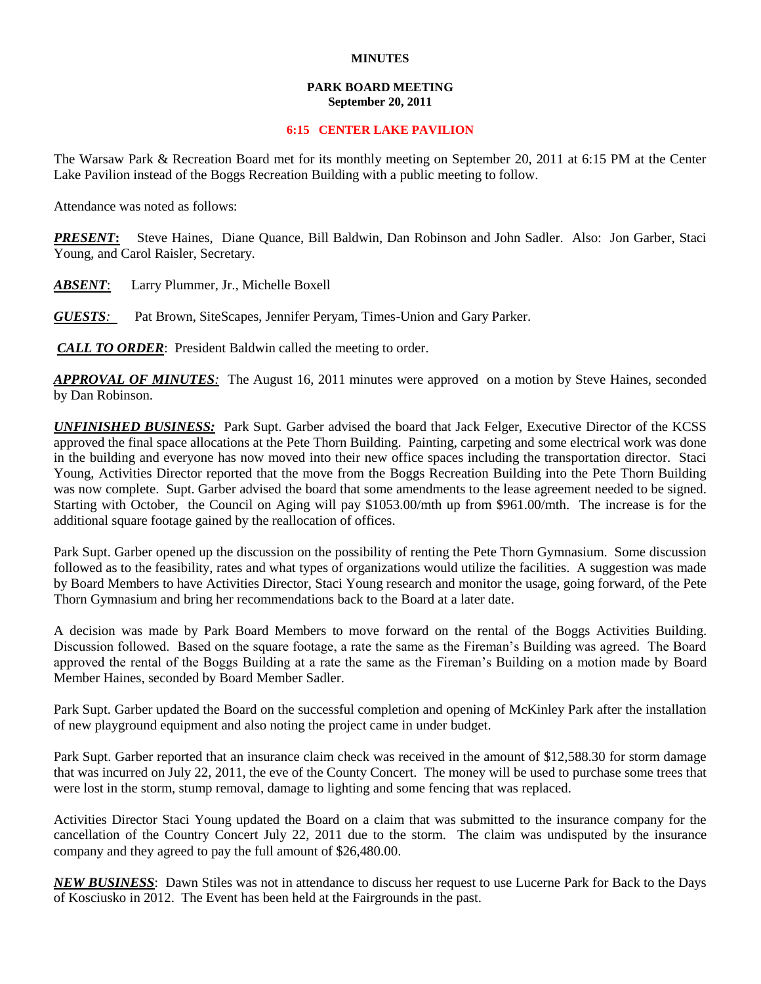## **MINUTES**

## **PARK BOARD MEETING September 20, 2011**

## **6:15 CENTER LAKE PAVILION**

The Warsaw Park & Recreation Board met for its monthly meeting on September 20, 2011 at 6:15 PM at the Center Lake Pavilion instead of the Boggs Recreation Building with a public meeting to follow.

Attendance was noted as follows:

*PRESENT***:** Steve Haines, Diane Quance, Bill Baldwin, Dan Robinson and John Sadler. Also: Jon Garber, Staci Young, and Carol Raisler, Secretary.

*ABSENT*: Larry Plummer, Jr., Michelle Boxell

*GUESTS:*Pat Brown, SiteScapes, Jennifer Peryam, Times-Union and Gary Parker.

*CALL TO ORDER*: President Baldwin called the meeting to order.

*APPROVAL OF MINUTES:* The August 16, 2011 minutes were approved on a motion by Steve Haines, seconded by Dan Robinson.

*UNFINISHED BUSINESS:* Park Supt. Garber advised the board that Jack Felger, Executive Director of the KCSS approved the final space allocations at the Pete Thorn Building. Painting, carpeting and some electrical work was done in the building and everyone has now moved into their new office spaces including the transportation director. Staci Young, Activities Director reported that the move from the Boggs Recreation Building into the Pete Thorn Building was now complete. Supt. Garber advised the board that some amendments to the lease agreement needed to be signed. Starting with October, the Council on Aging will pay \$1053.00/mth up from \$961.00/mth. The increase is for the additional square footage gained by the reallocation of offices.

Park Supt. Garber opened up the discussion on the possibility of renting the Pete Thorn Gymnasium. Some discussion followed as to the feasibility, rates and what types of organizations would utilize the facilities. A suggestion was made by Board Members to have Activities Director, Staci Young research and monitor the usage, going forward, of the Pete Thorn Gymnasium and bring her recommendations back to the Board at a later date.

A decision was made by Park Board Members to move forward on the rental of the Boggs Activities Building. Discussion followed. Based on the square footage, a rate the same as the Fireman's Building was agreed. The Board approved the rental of the Boggs Building at a rate the same as the Fireman's Building on a motion made by Board Member Haines, seconded by Board Member Sadler.

Park Supt. Garber updated the Board on the successful completion and opening of McKinley Park after the installation of new playground equipment and also noting the project came in under budget.

Park Supt. Garber reported that an insurance claim check was received in the amount of \$12,588.30 for storm damage that was incurred on July 22, 2011, the eve of the County Concert. The money will be used to purchase some trees that were lost in the storm, stump removal, damage to lighting and some fencing that was replaced.

Activities Director Staci Young updated the Board on a claim that was submitted to the insurance company for the cancellation of the Country Concert July 22, 2011 due to the storm. The claim was undisputed by the insurance company and they agreed to pay the full amount of \$26,480.00.

*NEW BUSINESS*: Dawn Stiles was not in attendance to discuss her request to use Lucerne Park for Back to the Days of Kosciusko in 2012. The Event has been held at the Fairgrounds in the past.